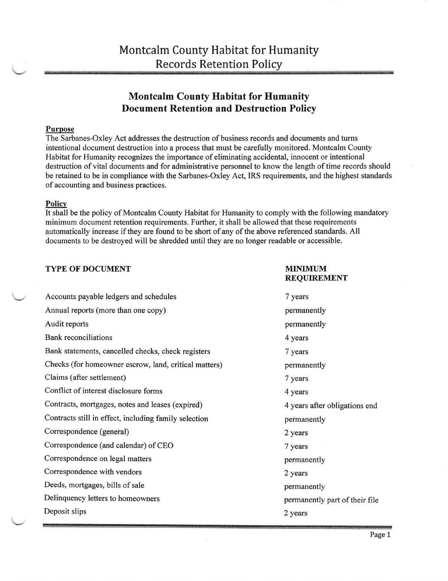# **Montcalm County Habitat for Humanity** Document Retention and Destruction Policy

## Purpose

The Sarbanes-Oxley Act addresses the destruction of business records and documents and turns intentional document destruction into a process that must be carefully monitored. Montcalm County Habitat for Humanity recognizes the importance of eliminating accidental, innocent or intentional destruction of vital documents and for administrative personnel to know the length of time records should be retained to be in compliance with the Sarbanes-Oxley Act, IRS requirements, and the highest standards of accounting and business practices.

#### **Policy**

It shall be the policy of Montcalm County Habitat for Humanity to comply with the following mandatory minimum document retention requirements. Further, it shall be allowed that these requirements automatically increase if they are found to be short of any of the above referenced standards. All documents to be destroyed will be shredded until they are no longer readable or accessible.

## TYPE OF DOCUMENT TYPE OF  $\blacksquare$

# REQUIREMENT Accounts payable ledgers and schedules 7 years 7 years Annual reports (more than one copy) permanently Audit reports **permanently permanently** Bank reconciliations 4 years 4 3 4 years 4 3 4 years 4 3 4 years 4 3 4 years 4 3 4 years 4 3 4 years 4 3 4 years 4 3 4 years 4 3 4 years 4 3 4 years 4 3 4 years 4 3 4 years 4 3 4 years 4 3 4 years 4 3 4 years 4 3 4 years 4 Bank statements, cancelled checks, check registers 7 years Checks (for homeowner escrow, land, critical matters) permanently Claims (after settlement) 7 years 7 years Conflict of interest disclosure forms 4 years Contracts, mortgages, notes and leases (expired) 4 years after obligations end Contracts still in effect, including family selection permanently Correspondence (general) 2 years 2 Correspondence (and calendar) of CEO 7 years Correspondence on legal matters permanently Correspondence with vendors 2 years 2 years Deeds, mortgages, bills of sale permanently Delinquency letters to homeowners permanently part of their file Deposit slips 2 years 2 and 2 years 2 years 2 years 2 years 2 years 2 years 2 years 2 years 2 years 2 years 2 years 2 years 2 years 2 years 2 years 2 years 2 years 2 years 2 years 2 years 2 years 2 years 2 years 2 years 2